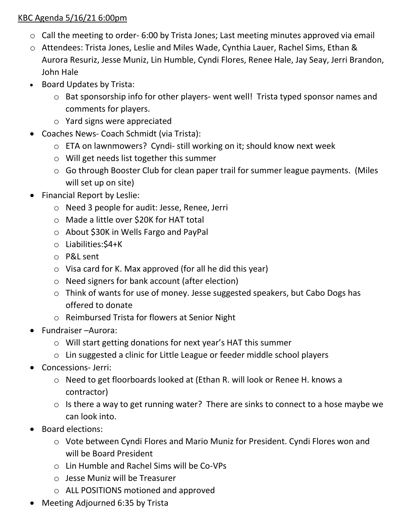## KBC Agenda 5/16/21 6:00pm

- o Call the meeting to order- 6:00 by Trista Jones; Last meeting minutes approved via email
- o Attendees: Trista Jones, Leslie and Miles Wade, Cynthia Lauer, Rachel Sims, Ethan & Aurora Resuriz, Jesse Muniz, Lin Humble, Cyndi Flores, Renee Hale, Jay Seay, Jerri Brandon, John Hale
- Board Updates by Trista:
	- o Bat sponsorship info for other players- went well! Trista typed sponsor names and comments for players.
	- o Yard signs were appreciated
- Coaches News- Coach Schmidt (via Trista):
	- o ETA on lawnmowers? Cyndi- still working on it; should know next week
	- o Will get needs list together this summer
	- o Go through Booster Club for clean paper trail for summer league payments. (Miles will set up on site)
- Financial Report by Leslie:
	- o Need 3 people for audit: Jesse, Renee, Jerri
	- o Made a little over \$20K for HAT total
	- o About \$30K in Wells Fargo and PayPal
	- o Liabilities:\$4+K
	- o P&L sent
	- o Visa card for K. Max approved (for all he did this year)
	- o Need signers for bank account (after election)
	- o Think of wants for use of money. Jesse suggested speakers, but Cabo Dogs has offered to donate
	- o Reimbursed Trista for flowers at Senior Night
- Fundraiser –Aurora:
	- o Will start getting donations for next year's HAT this summer
	- o Lin suggested a clinic for Little League or feeder middle school players
- Concessions- Jerri:
	- o Need to get floorboards looked at (Ethan R. will look or Renee H. knows a contractor)
	- o Is there a way to get running water? There are sinks to connect to a hose maybe we can look into.
- Board elections:
	- o Vote between Cyndi Flores and Mario Muniz for President. Cyndi Flores won and will be Board President
	- o Lin Humble and Rachel Sims will be Co-VPs
	- o Jesse Muniz will be Treasurer
	- o ALL POSITIONS motioned and approved
- Meeting Adjourned 6:35 by Trista